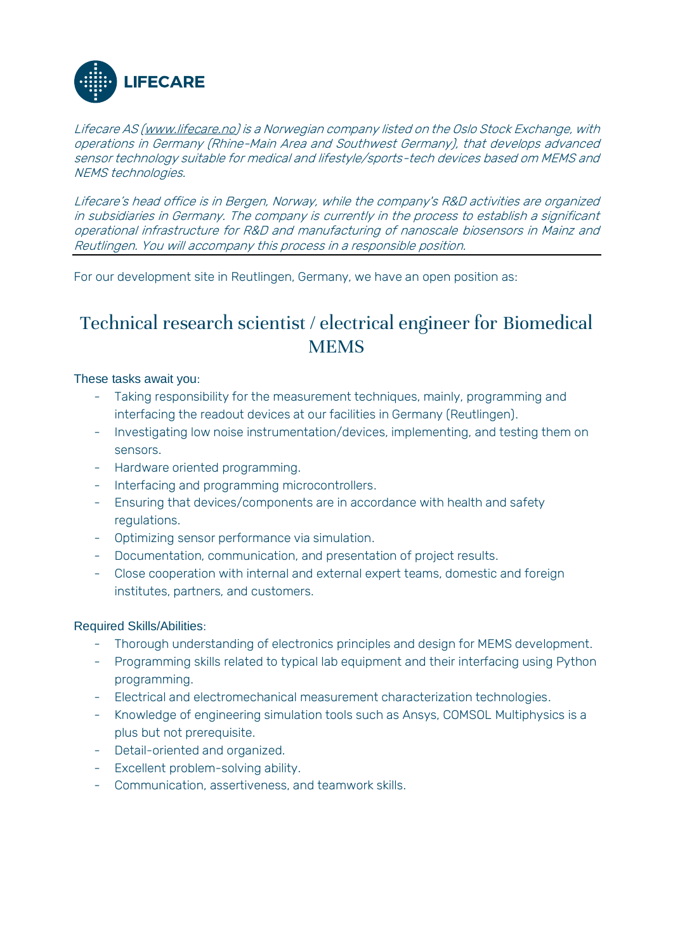

Lifecare AS [\(www.lifecare.no\)](http://www.lifecare.no/) is a Norwegian company listed on the Oslo Stock Exchange, with operations in Germany (Rhine-Main Area and Southwest Germany), that develops advanced sensor technology suitable for medical and lifestyle/sports-tech devices based om MEMS and NEMS technologies.

Lifecare's head office is in Bergen, Norway, while the company's R&D activities are organized in subsidiaries in Germany. The company is currently in the process to establish a significant operational infrastructure for R&D and manufacturing of nanoscale biosensors in Mainz and Reutlingen. You will accompany this process in a responsible position.

For our development site in Reutlingen, Germany, we have an open position as:

## Technical research scientist / electrical engineer for Biomedical **MEMS**

## These tasks await you:

- Taking responsibility for the measurement techniques, mainly, programming and interfacing the readout devices at our facilities in Germany (Reutlingen).
- Investigating low noise instrumentation/devices, implementing, and testing them on sensors.
- Hardware oriented programming.
- Interfacing and programming microcontrollers.
- Ensuring that devices/components are in accordance with health and safety regulations.
- Optimizing sensor performance via simulation.
- Documentation, communication, and presentation of project results.
- Close cooperation with internal and external expert teams, domestic and foreign institutes, partners, and customers.

## Required Skills/Abilities:

- Thorough understanding of electronics principles and design for MEMS development.
- Programming skills related to typical lab equipment and their interfacing using Python programming.
- Electrical and electromechanical measurement characterization technologies.
- Knowledge of engineering simulation tools such as Ansys, COMSOL Multiphysics is a plus but not prerequisite.
- Detail-oriented and organized.
- Excellent problem-solving ability.
- Communication, assertiveness, and teamwork skills.